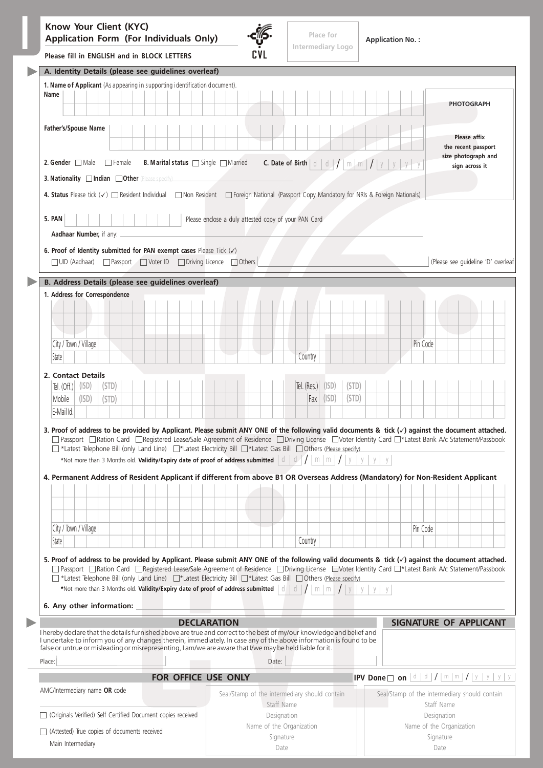|                                                                                           | Know Your Client (KYC)<br><b>Application Form (For Individuals Only)</b>                                                                                                                                                                                                                                                                                | Place for<br>Intermediary Logo                                                                                                                                                 |       |  |  |  |                                                                                                                                                                                                                                                                                                                                                                                                                                  |  | <b>Application No.:</b>                                                                                                                            |                                               |  |  |            |                                       |         |                                   |             |                                       |                                    |  |  |  |  |          |            |  |                                                                                                                      |  |  |  |
|-------------------------------------------------------------------------------------------|---------------------------------------------------------------------------------------------------------------------------------------------------------------------------------------------------------------------------------------------------------------------------------------------------------------------------------------------------------|--------------------------------------------------------------------------------------------------------------------------------------------------------------------------------|-------|--|--|--|----------------------------------------------------------------------------------------------------------------------------------------------------------------------------------------------------------------------------------------------------------------------------------------------------------------------------------------------------------------------------------------------------------------------------------|--|----------------------------------------------------------------------------------------------------------------------------------------------------|-----------------------------------------------|--|--|------------|---------------------------------------|---------|-----------------------------------|-------------|---------------------------------------|------------------------------------|--|--|--|--|----------|------------|--|----------------------------------------------------------------------------------------------------------------------|--|--|--|
|                                                                                           | Please fill in ENGLISH and in BLOCK LETTERS                                                                                                                                                                                                                                                                                                             |                                                                                                                                                                                |       |  |  |  |                                                                                                                                                                                                                                                                                                                                                                                                                                  |  |                                                                                                                                                    |                                               |  |  |            |                                       |         |                                   |             |                                       |                                    |  |  |  |  |          |            |  |                                                                                                                      |  |  |  |
|                                                                                           | A. Identity Details (please see guidelines overleaf)<br>1. Name of Applicant (As appearing in supporting identification document).                                                                                                                                                                                                                      |                                                                                                                                                                                |       |  |  |  |                                                                                                                                                                                                                                                                                                                                                                                                                                  |  |                                                                                                                                                    |                                               |  |  |            |                                       |         |                                   |             |                                       |                                    |  |  |  |  |          |            |  |                                                                                                                      |  |  |  |
|                                                                                           | Name                                                                                                                                                                                                                                                                                                                                                    |                                                                                                                                                                                |       |  |  |  |                                                                                                                                                                                                                                                                                                                                                                                                                                  |  |                                                                                                                                                    |                                               |  |  |            |                                       |         |                                   |             |                                       |                                    |  |  |  |  |          |            |  | <b>PHOTOGRAPH</b>                                                                                                    |  |  |  |
|                                                                                           | Father's/Spouse Name                                                                                                                                                                                                                                                                                                                                    |                                                                                                                                                                                |       |  |  |  |                                                                                                                                                                                                                                                                                                                                                                                                                                  |  |                                                                                                                                                    |                                               |  |  |            |                                       |         |                                   |             |                                       |                                    |  |  |  |  |          |            |  | Please affix<br>the recent passport                                                                                  |  |  |  |
|                                                                                           |                                                                                                                                                                                                                                                                                                                                                         | 2. Gender $\Box$ Male $\Box$ Female<br>B. Marital status   Single   Married<br><b>C.</b> Date of Birth $\mid d \mid d \mid / \mid m \mid m \mid / \mid y \mid y \mid y \mid y$ |       |  |  |  |                                                                                                                                                                                                                                                                                                                                                                                                                                  |  |                                                                                                                                                    |                                               |  |  |            | size photograph and<br>sign across it |         |                                   |             |                                       |                                    |  |  |  |  |          |            |  |                                                                                                                      |  |  |  |
| 3. Nationality Indian Other (Please specify)                                              |                                                                                                                                                                                                                                                                                                                                                         |                                                                                                                                                                                |       |  |  |  |                                                                                                                                                                                                                                                                                                                                                                                                                                  |  |                                                                                                                                                    |                                               |  |  |            |                                       |         |                                   |             |                                       |                                    |  |  |  |  |          |            |  |                                                                                                                      |  |  |  |
|                                                                                           | 4. Status Please tick (v) <a>[Resident Individual <a>[Non Resident <a>[Nonglent Capacity Cassport Copy Mandatory for NRIs &amp; Foreign Nationals]</a></a></a>                                                                                                                                                                                          |                                                                                                                                                                                |       |  |  |  |                                                                                                                                                                                                                                                                                                                                                                                                                                  |  |                                                                                                                                                    |                                               |  |  |            |                                       |         |                                   |             |                                       |                                    |  |  |  |  |          |            |  |                                                                                                                      |  |  |  |
| Please enclose a duly attested copy of your PAN Card<br>5. PAN<br>Aadhaar Number, if any: |                                                                                                                                                                                                                                                                                                                                                         |                                                                                                                                                                                |       |  |  |  |                                                                                                                                                                                                                                                                                                                                                                                                                                  |  |                                                                                                                                                    |                                               |  |  |            |                                       |         |                                   |             |                                       |                                    |  |  |  |  |          |            |  |                                                                                                                      |  |  |  |
|                                                                                           |                                                                                                                                                                                                                                                                                                                                                         |                                                                                                                                                                                |       |  |  |  |                                                                                                                                                                                                                                                                                                                                                                                                                                  |  | 6. Proof of Identity submitted for PAN exempt cases Please Tick $(\checkmark)$<br>□ UID (Aadhaar) □ Passport □ Voter ID □ Driving Licence □ Others |                                               |  |  |            |                                       |         |                                   |             |                                       | (Please see guideline 'D' overleaf |  |  |  |  |          |            |  |                                                                                                                      |  |  |  |
|                                                                                           |                                                                                                                                                                                                                                                                                                                                                         |                                                                                                                                                                                |       |  |  |  |                                                                                                                                                                                                                                                                                                                                                                                                                                  |  |                                                                                                                                                    |                                               |  |  |            |                                       |         |                                   |             |                                       |                                    |  |  |  |  |          |            |  |                                                                                                                      |  |  |  |
|                                                                                           | B. Address Details (please see guidelines overleaf)                                                                                                                                                                                                                                                                                                     |                                                                                                                                                                                |       |  |  |  |                                                                                                                                                                                                                                                                                                                                                                                                                                  |  |                                                                                                                                                    |                                               |  |  |            |                                       |         |                                   |             |                                       |                                    |  |  |  |  |          |            |  |                                                                                                                      |  |  |  |
|                                                                                           | 1. Address for Correspondence                                                                                                                                                                                                                                                                                                                           |                                                                                                                                                                                |       |  |  |  |                                                                                                                                                                                                                                                                                                                                                                                                                                  |  |                                                                                                                                                    |                                               |  |  |            |                                       |         |                                   |             |                                       |                                    |  |  |  |  |          |            |  |                                                                                                                      |  |  |  |
|                                                                                           |                                                                                                                                                                                                                                                                                                                                                         |                                                                                                                                                                                |       |  |  |  |                                                                                                                                                                                                                                                                                                                                                                                                                                  |  |                                                                                                                                                    |                                               |  |  |            |                                       |         |                                   |             |                                       |                                    |  |  |  |  |          |            |  |                                                                                                                      |  |  |  |
|                                                                                           |                                                                                                                                                                                                                                                                                                                                                         |                                                                                                                                                                                |       |  |  |  |                                                                                                                                                                                                                                                                                                                                                                                                                                  |  |                                                                                                                                                    |                                               |  |  |            |                                       |         |                                   |             |                                       |                                    |  |  |  |  |          |            |  |                                                                                                                      |  |  |  |
|                                                                                           | City / Town / Village                                                                                                                                                                                                                                                                                                                                   |                                                                                                                                                                                |       |  |  |  |                                                                                                                                                                                                                                                                                                                                                                                                                                  |  |                                                                                                                                                    |                                               |  |  |            |                                       |         |                                   |             |                                       |                                    |  |  |  |  | Pin Code |            |  |                                                                                                                      |  |  |  |
|                                                                                           | State                                                                                                                                                                                                                                                                                                                                                   |                                                                                                                                                                                |       |  |  |  |                                                                                                                                                                                                                                                                                                                                                                                                                                  |  |                                                                                                                                                    |                                               |  |  |            |                                       | Country |                                   |             |                                       |                                    |  |  |  |  |          |            |  |                                                                                                                      |  |  |  |
|                                                                                           | 2. Contact Details                                                                                                                                                                                                                                                                                                                                      | (ISD)                                                                                                                                                                          | (STD) |  |  |  |                                                                                                                                                                                                                                                                                                                                                                                                                                  |  |                                                                                                                                                    |                                               |  |  |            |                                       |         | $\left  \frac{1}{2}$ (Res.) (ISD) |             | (STD)                                 |                                    |  |  |  |  |          |            |  |                                                                                                                      |  |  |  |
|                                                                                           | Tel. $(Off.)$<br>Mobile                                                                                                                                                                                                                                                                                                                                 | (ISD)                                                                                                                                                                          | (STD) |  |  |  |                                                                                                                                                                                                                                                                                                                                                                                                                                  |  |                                                                                                                                                    |                                               |  |  |            |                                       |         | $Fax$ (ISD)                       |             | (STD)                                 |                                    |  |  |  |  |          |            |  |                                                                                                                      |  |  |  |
|                                                                                           | E-Mail Id.                                                                                                                                                                                                                                                                                                                                              |                                                                                                                                                                                |       |  |  |  |                                                                                                                                                                                                                                                                                                                                                                                                                                  |  |                                                                                                                                                    |                                               |  |  |            |                                       |         |                                   |             |                                       |                                    |  |  |  |  |          |            |  |                                                                                                                      |  |  |  |
|                                                                                           | 3. Proof of address to be provided by Applicant. Please submit ANY ONE of the following valid documents & tick $(\checkmark)$ against the document attached.<br>4. Permanent Address of Resident Applicant if different from above B1 OR Overseas Address (Mandatory) for Non-Resident Applicant                                                        |                                                                                                                                                                                |       |  |  |  | □ Passport □ Ration Card □ Reqistered Lease/Sale Agreement of Residence □ Driving License □ Voter Identity Card □*Latest Bank A/c Statement/Passbook<br>T *Latest Telephone Bill (only Land Line) T*Latest Electricity Bill T*Latest Gas Bill TOthers (Please specify).<br>*Not more than 3 Months old. Validity/Expiry date of proof of address submitted $\begin{bmatrix} d & d \end{bmatrix}$                                 |  |                                                                                                                                                    |                                               |  |  |            |                                       |         | m <sub>1</sub><br>m               |             |                                       |                                    |  |  |  |  |          |            |  |                                                                                                                      |  |  |  |
|                                                                                           |                                                                                                                                                                                                                                                                                                                                                         |                                                                                                                                                                                |       |  |  |  |                                                                                                                                                                                                                                                                                                                                                                                                                                  |  |                                                                                                                                                    |                                               |  |  |            |                                       |         |                                   |             |                                       |                                    |  |  |  |  |          |            |  |                                                                                                                      |  |  |  |
|                                                                                           |                                                                                                                                                                                                                                                                                                                                                         |                                                                                                                                                                                |       |  |  |  |                                                                                                                                                                                                                                                                                                                                                                                                                                  |  |                                                                                                                                                    |                                               |  |  |            |                                       |         |                                   |             |                                       |                                    |  |  |  |  |          |            |  |                                                                                                                      |  |  |  |
|                                                                                           | City / Town / Village                                                                                                                                                                                                                                                                                                                                   |                                                                                                                                                                                |       |  |  |  |                                                                                                                                                                                                                                                                                                                                                                                                                                  |  |                                                                                                                                                    |                                               |  |  |            |                                       |         |                                   |             |                                       |                                    |  |  |  |  | Pin Code |            |  |                                                                                                                      |  |  |  |
|                                                                                           | State                                                                                                                                                                                                                                                                                                                                                   |                                                                                                                                                                                |       |  |  |  |                                                                                                                                                                                                                                                                                                                                                                                                                                  |  |                                                                                                                                                    |                                               |  |  |            |                                       | Country |                                   |             |                                       |                                    |  |  |  |  |          |            |  |                                                                                                                      |  |  |  |
|                                                                                           | 5. Proof of address to be provided by Applicant. Please submit ANY ONE of the following valid documents & tick $(\checkmark)$ against the document attached.<br>6. Any other information:                                                                                                                                                               |                                                                                                                                                                                |       |  |  |  | □ Passport □ Ration Card □ Registered Lease/Sale Agreement of Residence □ Driving License □ Voter Identity Card □*Latest Bank A/c Statement/Passbook<br>T *Latest Telephone Bill (only Land Line) T*Latest Electricity Bill T*Latest Gas Bill Others (Please specify).<br>*Not more than 3 Months old. Validity/Expiry date of proof of address submitted $\begin{bmatrix} \vdots \\ \vdots \end{bmatrix}$<br><b>DECLARATION</b> |  |                                                                                                                                                    |                                               |  |  |            |                                       |         | $m \mid m$                        |             |                                       |                                    |  |  |  |  |          |            |  | <b>SIGNATURE OF APPLICANT</b>                                                                                        |  |  |  |
|                                                                                           | I hereby declare that the details furnished above are true and correct to the best of my/our knowledge and belief and<br>I undertake to inform you of any changes therein, immediately. In case any of the above information is found to be<br>false or untrue or misleading or misrepresenting, I am/we are aware that I/we may be held liable for it. |                                                                                                                                                                                |       |  |  |  |                                                                                                                                                                                                                                                                                                                                                                                                                                  |  |                                                                                                                                                    |                                               |  |  |            |                                       |         |                                   |             |                                       |                                    |  |  |  |  |          |            |  |                                                                                                                      |  |  |  |
|                                                                                           | Place:                                                                                                                                                                                                                                                                                                                                                  |                                                                                                                                                                                |       |  |  |  |                                                                                                                                                                                                                                                                                                                                                                                                                                  |  |                                                                                                                                                    |                                               |  |  | Date:      |                                       |         |                                   |             |                                       |                                    |  |  |  |  |          |            |  |                                                                                                                      |  |  |  |
|                                                                                           | AMC/Intermediary name OR code                                                                                                                                                                                                                                                                                                                           |                                                                                                                                                                                |       |  |  |  | FOR OFFICE USE ONLY                                                                                                                                                                                                                                                                                                                                                                                                              |  |                                                                                                                                                    | Seal/Stamp of the intermediary should contain |  |  | Staff Name |                                       |         |                                   |             |                                       |                                    |  |  |  |  |          | Staff Name |  | <b>IPV</b> Done $\Box$ on $\boxed{d/d}/\boxed{m/m}/\boxed{y/y/y/y}$<br>Seal/Stamp of the intermediary should contain |  |  |  |
|                                                                                           | □ (Originals Verified) Self Certified Document copies received                                                                                                                                                                                                                                                                                          |                                                                                                                                                                                |       |  |  |  |                                                                                                                                                                                                                                                                                                                                                                                                                                  |  | Designation                                                                                                                                        |                                               |  |  |            |                                       |         |                                   | Designation |                                       |                                    |  |  |  |  |          |            |  |                                                                                                                      |  |  |  |
|                                                                                           | $\Box$ (Attested) True copies of documents received                                                                                                                                                                                                                                                                                                     |                                                                                                                                                                                |       |  |  |  |                                                                                                                                                                                                                                                                                                                                                                                                                                  |  | Name of the Organization<br>Signature                                                                                                              |                                               |  |  |            |                                       |         |                                   |             | Name of the Organization<br>Signature |                                    |  |  |  |  |          |            |  |                                                                                                                      |  |  |  |

| Main Intermediary |  |
|-------------------|--|
|-------------------|--|

Date